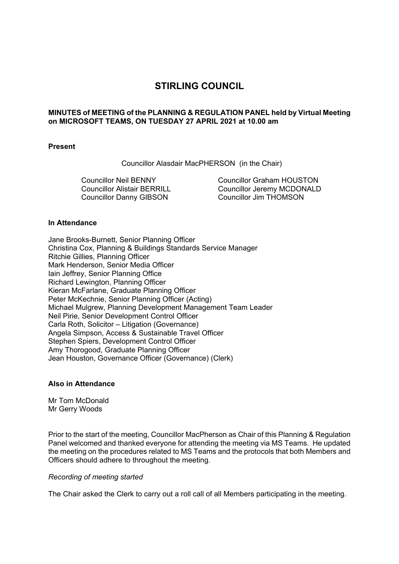# **STIRLING COUNCIL**

# **MINUTES of MEETING of the PLANNING & REGULATION PANEL held by Virtual Meeting on MICROSOFT TEAMS, ON TUESDAY 27 APRIL 2021 at 10.00 am**

### **Present**

Councillor Alasdair MacPHERSON (in the Chair)

Councillor Neil BENNY Councillor Alistair BERRILL Councillor Danny GIBSON

Councillor Graham HOUSTON Councillor Jeremy MCDONALD Councillor Jim THOMSON

### **In Attendance**

Jane Brooks-Burnett, Senior Planning Officer Christina Cox, Planning & Buildings Standards Service Manager Ritchie Gillies, Planning Officer Mark Henderson, Senior Media Officer Iain Jeffrey, Senior Planning Office Richard Lewington, Planning Officer Kieran McFarlane, Graduate Planning Officer Peter McKechnie, Senior Planning Officer (Acting) Michael Mulgrew, Planning Development Management Team Leader Neil Pirie, Senior Development Control Officer Carla Roth, Solicitor – Litigation (Governance) Angela Simpson, Access & Sustainable Travel Officer Stephen Spiers, Development Control Officer Amy Thorogood, Graduate Planning Officer Jean Houston, Governance Officer (Governance) (Clerk)

### **Also in Attendance**

Mr Tom McDonald Mr Gerry Woods

Prior to the start of the meeting, Councillor MacPherson as Chair of this Planning & Regulation Panel welcomed and thanked everyone for attending the meeting via MS Teams. He updated the meeting on the procedures related to MS Teams and the protocols that both Members and Officers should adhere to throughout the meeting.

#### *Recording of meeting started*

The Chair asked the Clerk to carry out a roll call of all Members participating in the meeting.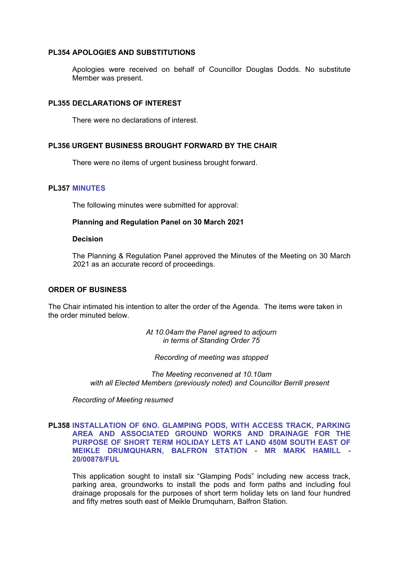### **PL354 APOLOGIES AND SUBSTITUTIONS**

Apologies were received on behalf of Councillor Douglas Dodds. No substitute Member was present.

# **PL355 DECLARATIONS OF INTEREST**

There were no declarations of interest.

# **PL356 URGENT BUSINESS BROUGHT FORWARD BY THE CHAIR**

There were no items of urgent business brought forward.

### **PL357 MINUTES**

The following minutes were submitted for approval:

### **Planning and Regulation Panel on 30 March 2021**

### **Decision**

The Planning & Regulation Panel approved the Minutes of the Meeting on 30 March 2021 as an accurate record of proceedings.

### **ORDER OF BUSINESS**

The Chair intimated his intention to alter the order of the Agenda. The items were taken in the order minuted below.

> *At 10.04am the Panel agreed to adjourn in terms of Standing Order 75*

*Recording of meeting was stopped* 

*The Meeting reconvened at 10.10am with all Elected Members (previously noted) and Councillor Berrill present*

*Recording of Meeting resumed* 

# **PL358 INSTALLATION OF 6NO. GLAMPING PODS, WITH ACCESS TRACK, PARKING AREA AND ASSOCIATED GROUND WORKS AND DRAINAGE FOR THE PURPOSE OF SHORT TERM HOLIDAY LETS AT LAND 450M SOUTH EAST OF MEIKLE DRUMQUHARN, BALFRON STATION - MR MARK HAMILL - 20/00878/FUL**

This application sought to install six "Glamping Pods" including new access track, parking area, groundworks to install the pods and form paths and including foul drainage proposals for the purposes of short term holiday lets on land four hundred and fifty metres south east of Meikle Drumquharn, Balfron Station.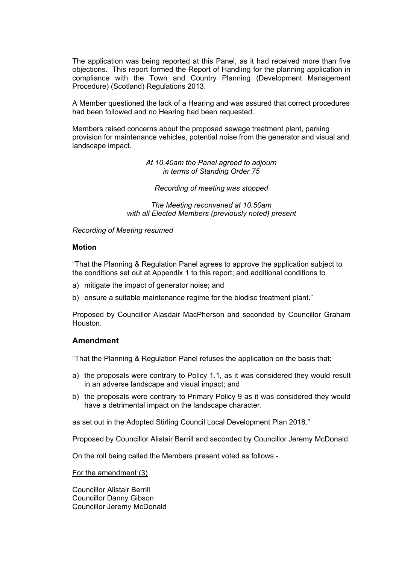The application was being reported at this Panel, as it had received more than five objections. This report formed the Report of Handling for the planning application in compliance with the Town and Country Planning (Development Management Procedure) (Scotland) Regulations 2013.

A Member questioned the lack of a Hearing and was assured that correct procedures had been followed and no Hearing had been requested.

Members raised concerns about the proposed sewage treatment plant, parking provision for maintenance vehicles, potential noise from the generator and visual and landscape impact.

> *At 10.40am the Panel agreed to adjourn in terms of Standing Order 75*

*Recording of meeting was stopped* 

*The Meeting reconvened at 10.50am with all Elected Members (previously noted) present*

*Recording of Meeting resumed* 

# **Motion**

"That the Planning & Regulation Panel agrees to approve the application subject to the conditions set out at Appendix 1 to this report; and additional conditions to

- a) mitigate the impact of generator noise; and
- b) ensure a suitable maintenance regime for the biodisc treatment plant."

Proposed by Councillor Alasdair MacPherson and seconded by Councillor Graham Houston.

# **Amendment**

"That the Planning & Regulation Panel refuses the application on the basis that:

- a) the proposals were contrary to Policy 1.1, as it was considered they would result in an adverse landscape and visual impact; and
- b) the proposals were contrary to Primary Policy 9 as it was considered they would have a detrimental impact on the landscape character.

as set out in the Adopted Stirling Council Local Development Plan 2018."

Proposed by Councillor Alistair Berrill and seconded by Councillor Jeremy McDonald.

On the roll being called the Members present voted as follows:-

For the amendment (3)

Councillor Alistair Berrill Councillor Danny Gibson Councillor Jeremy McDonald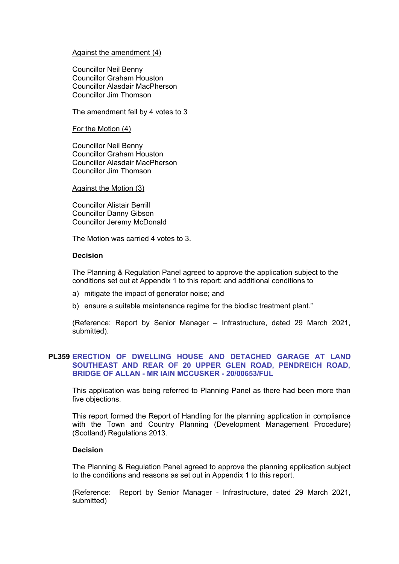### Against the amendment (4)

Councillor Neil Benny Councillor Graham Houston Councillor Alasdair MacPherson Councillor Jim Thomson

The amendment fell by 4 votes to 3

For the Motion (4)

Councillor Neil Benny Councillor Graham Houston Councillor Alasdair MacPherson Councillor Jim Thomson

### Against the Motion (3)

Councillor Alistair Berrill Councillor Danny Gibson Councillor Jeremy McDonald

The Motion was carried 4 votes to 3.

### **Decision**

The Planning & Regulation Panel agreed to approve the application subject to the conditions set out at Appendix 1 to this report; and additional conditions to

- a) mitigate the impact of generator noise; and
- b) ensure a suitable maintenance regime for the biodisc treatment plant."

(Reference: Report by Senior Manager – Infrastructure, dated 29 March 2021, submitted).

# **PL359 ERECTION OF DWELLING HOUSE AND DETACHED GARAGE AT LAND SOUTHEAST AND REAR OF 20 UPPER GLEN ROAD, PENDREICH ROAD, BRIDGE OF ALLAN - MR IAIN MCCUSKER - 20/00653/FUL**

This application was being referred to Planning Panel as there had been more than five objections.

This report formed the Report of Handling for the planning application in compliance with the Town and Country Planning (Development Management Procedure) (Scotland) Regulations 2013.

### **Decision**

The Planning & Regulation Panel agreed to approve the planning application subject to the conditions and reasons as set out in Appendix 1 to this report.

(Reference: Report by Senior Manager - Infrastructure, dated 29 March 2021, submitted)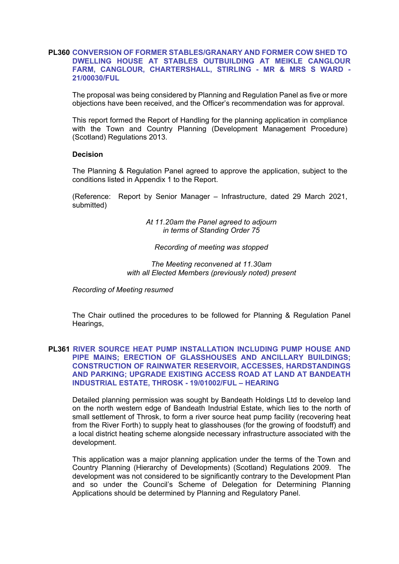# **PL360 CONVERSION OF FORMER STABLES/GRANARY AND FORMER COW SHED TO DWELLING HOUSE AT STABLES OUTBUILDING AT MEIKLE CANGLOUR FARM, CANGLOUR, CHARTERSHALL, STIRLING - MR & MRS S WARD - 21/00030/FUL**

The proposal was being considered by Planning and Regulation Panel as five or more objections have been received, and the Officer's recommendation was for approval.

This report formed the Report of Handling for the planning application in compliance with the Town and Country Planning (Development Management Procedure) (Scotland) Regulations 2013.

### **Decision**

The Planning & Regulation Panel agreed to approve the application, subject to the conditions listed in Appendix 1 to the Report.

(Reference: Report by Senior Manager – Infrastructure, dated 29 March 2021, submitted)

> *At 11.20am the Panel agreed to adjourn in terms of Standing Order 75*

### *Recording of meeting was stopped*

*The Meeting reconvened at 11.30am with all Elected Members (previously noted) present*

*Recording of Meeting resumed*

The Chair outlined the procedures to be followed for Planning & Regulation Panel Hearings,

# **PL361 RIVER SOURCE HEAT PUMP INSTALLATION INCLUDING PUMP HOUSE AND PIPE MAINS; ERECTION OF GLASSHOUSES AND ANCILLARY BUILDINGS; CONSTRUCTION OF RAINWATER RESERVOIR, ACCESSES, HARDSTANDINGS AND PARKING; UPGRADE EXISTING ACCESS ROAD AT LAND AT BANDEATH INDUSTRIAL ESTATE, THROSK - 19/01002/FUL – HEARING**

Detailed planning permission was sought by Bandeath Holdings Ltd to develop land on the north western edge of Bandeath Industrial Estate, which lies to the north of small settlement of Throsk, to form a river source heat pump facility (recovering heat from the River Forth) to supply heat to glasshouses (for the growing of foodstuff) and a local district heating scheme alongside necessary infrastructure associated with the development.

This application was a major planning application under the terms of the Town and Country Planning (Hierarchy of Developments) (Scotland) Regulations 2009. The development was not considered to be significantly contrary to the Development Plan and so under the Council's Scheme of Delegation for Determining Planning Applications should be determined by Planning and Regulatory Panel.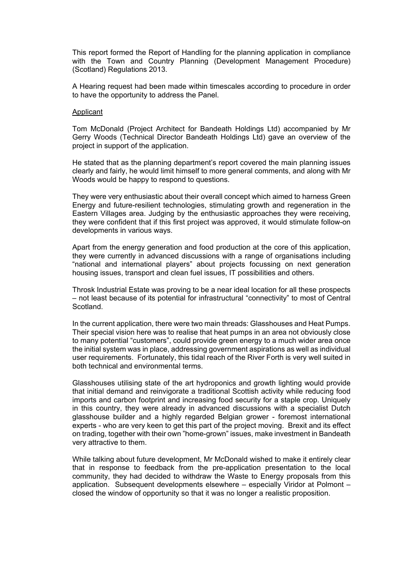This report formed the Report of Handling for the planning application in compliance with the Town and Country Planning (Development Management Procedure) (Scotland) Regulations 2013.

A Hearing request had been made within timescales according to procedure in order to have the opportunity to address the Panel.

#### Applicant

Tom McDonald (Project Architect for Bandeath Holdings Ltd) accompanied by Mr Gerry Woods (Technical Director Bandeath Holdings Ltd) gave an overview of the project in support of the application.

He stated that as the planning department's report covered the main planning issues clearly and fairly, he would limit himself to more general comments, and along with Mr Woods would be happy to respond to questions.

They were very enthusiastic about their overall concept which aimed to harness Green Energy and future-resilient technologies, stimulating growth and regeneration in the Eastern Villages area. Judging by the enthusiastic approaches they were receiving, they were confident that if this first project was approved, it would stimulate follow-on developments in various ways.

Apart from the energy generation and food production at the core of this application, they were currently in advanced discussions with a range of organisations including "national and international players" about projects focussing on next generation housing issues, transport and clean fuel issues, IT possibilities and others.

Throsk Industrial Estate was proving to be a near ideal location for all these prospects – not least because of its potential for infrastructural "connectivity" to most of Central **Scotland** 

In the current application, there were two main threads: Glasshouses and Heat Pumps. Their special vision here was to realise that heat pumps in an area not obviously close to many potential "customers", could provide green energy to a much wider area once the initial system was in place, addressing government aspirations as well as individual user requirements. Fortunately, this tidal reach of the River Forth is very well suited in both technical and environmental terms.

Glasshouses utilising state of the art hydroponics and growth lighting would provide that initial demand and reinvigorate a traditional Scottish activity while reducing food imports and carbon footprint and increasing food security for a staple crop. Uniquely in this country, they were already in advanced discussions with a specialist Dutch glasshouse builder and a highly regarded Belgian grower - foremost international experts - who are very keen to get this part of the project moving. Brexit and its effect on trading, together with their own "home-grown" issues, make investment in Bandeath very attractive to them.

While talking about future development, Mr McDonald wished to make it entirely clear that in response to feedback from the pre-application presentation to the local community, they had decided to withdraw the Waste to Energy proposals from this application. Subsequent developments elsewhere – especially Viridor at Polmont – closed the window of opportunity so that it was no longer a realistic proposition.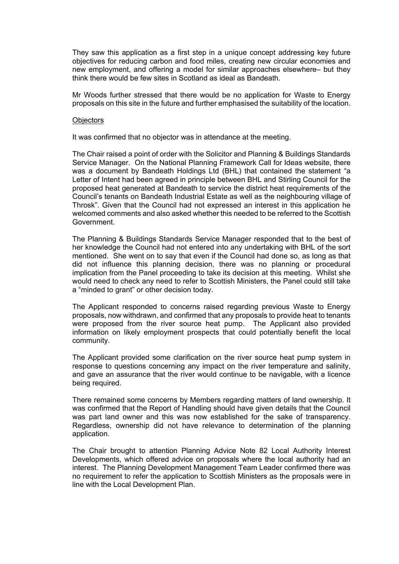They saw this application as a first step in a unique concept addressing key future objectives for reducing carbon and food miles, creating new circular economies and new employment, and offering a model for similar approaches elsewhere– but they think there would be few sites in Scotland as ideal as Bandeath.

Mr Woods further stressed that there would be no application for Waste to Energy proposals on this site in the future and further emphasised the suitability of the location.

### **Objectors**

It was confirmed that no objector was in attendance at the meeting.

The Chair raised a point of order with the Solicitor and Planning & Buildings Standards Service Manager. On the National Planning Framework Call for Ideas website, there was a document by Bandeath Holdings Ltd (BHL) that contained the statement "a Letter of Intent had been agreed in principle between BHL and Stirling Council for the proposed heat generated at Bandeath to service the district heat requirements of the Council's tenants on Bandeath Industrial Estate as well as the neighbouring village of Throsk". Given that the Council had not expressed an interest in this application he welcomed comments and also asked whether this needed to be referred to the Scottish Government.

The Planning & Buildings Standards Service Manager responded that to the best of her knowledge the Council had not entered into any undertaking with BHL of the sort mentioned. She went on to say that even if the Council had done so, as long as that did not influence this planning decision, there was no planning or procedural implication from the Panel proceeding to take its decision at this meeting. Whilst she would need to check any need to refer to Scottish Ministers, the Panel could still take a "minded to grant" or other decision today.

The Applicant responded to concerns raised regarding previous Waste to Energy proposals, now withdrawn, and confirmed that any proposals to provide heat to tenants were proposed from the river source heat pump. The Applicant also provided information on likely employment prospects that could potentially benefit the local community.

The Applicant provided some clarification on the river source heat pump system in response to questions concerning any impact on the river temperature and salinity, and gave an assurance that the river would continue to be navigable, with a licence being required.

There remained some concerns by Members regarding matters of land ownership. It was confirmed that the Report of Handling should have given details that the Council was part land owner and this was now established for the sake of transparency. Regardless, ownership did not have relevance to determination of the planning application.

The Chair brought to attention Planning Advice Note 82 Local Authority Interest Developments, which offered advice on proposals where the local authority had an interest. The Planning Development Management Team Leader confirmed there was no requirement to refer the application to Scottish Ministers as the proposals were in line with the Local Development Plan.